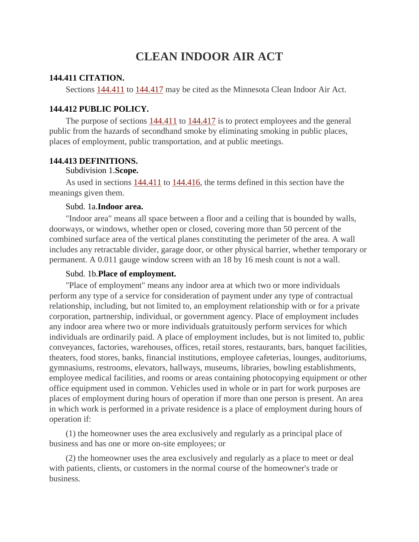# **CLEAN INDOOR AIR ACT**

#### **144.411 CITATION.**

Sections [144.411](https://www.revisor.mn.gov/statutes?id=144.411#stat.144.411) to [144.417](https://www.revisor.mn.gov/statutes?id=144.417#stat.144.417) may be cited as the Minnesota Clean Indoor Air Act.

### **144.412 PUBLIC POLICY.**

The purpose of sections [144.411](https://www.revisor.mn.gov/statutes?id=144.411#stat.144.411) to [144.417](https://www.revisor.mn.gov/statutes?id=144.417#stat.144.417) is to protect employees and the general public from the hazards of secondhand smoke by eliminating smoking in public places, places of employment, public transportation, and at public meetings.

#### **144.413 DEFINITIONS.**

#### Subdivision 1.**Scope.**

As used in sections [144.411](https://www.revisor.mn.gov/statutes?id=144.411#stat.144.411) to [144.416,](https://www.revisor.mn.gov/statutes?id=144.416#stat.144.416) the terms defined in this section have the meanings given them.

#### Subd. 1a.**Indoor area.**

"Indoor area" means all space between a floor and a ceiling that is bounded by walls, doorways, or windows, whether open or closed, covering more than 50 percent of the combined surface area of the vertical planes constituting the perimeter of the area. A wall includes any retractable divider, garage door, or other physical barrier, whether temporary or permanent. A 0.011 gauge window screen with an 18 by 16 mesh count is not a wall.

#### Subd. 1b.**Place of employment.**

"Place of employment" means any indoor area at which two or more individuals perform any type of a service for consideration of payment under any type of contractual relationship, including, but not limited to, an employment relationship with or for a private corporation, partnership, individual, or government agency. Place of employment includes any indoor area where two or more individuals gratuitously perform services for which individuals are ordinarily paid. A place of employment includes, but is not limited to, public conveyances, factories, warehouses, offices, retail stores, restaurants, bars, banquet facilities, theaters, food stores, banks, financial institutions, employee cafeterias, lounges, auditoriums, gymnasiums, restrooms, elevators, hallways, museums, libraries, bowling establishments, employee medical facilities, and rooms or areas containing photocopying equipment or other office equipment used in common. Vehicles used in whole or in part for work purposes are places of employment during hours of operation if more than one person is present. An area in which work is performed in a private residence is a place of employment during hours of operation if:

(1) the homeowner uses the area exclusively and regularly as a principal place of business and has one or more on-site employees; or

(2) the homeowner uses the area exclusively and regularly as a place to meet or deal with patients, clients, or customers in the normal course of the homeowner's trade or business.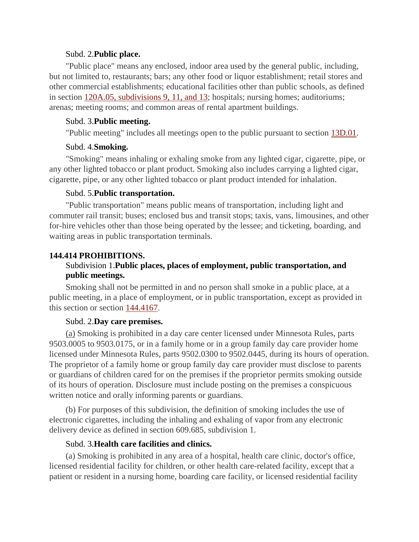#### Subd. 2.**Public place.**

"Public place" means any enclosed, indoor area used by the general public, including, but not limited to, restaurants; bars; any other food or liquor establishment; retail stores and other commercial establishments; educational facilities other than public schools, as defined in section [120A.05, subdivisions 9, 11, and 13;](https://www.revisor.mn.gov/statutes?id=120A.05#stat.120A.05) hospitals; nursing homes; auditoriums; arenas; meeting rooms; and common areas of rental apartment buildings.

## Subd. 3.**Public meeting.**

"Public meeting" includes all meetings open to the public pursuant to section [13D.01.](https://www.revisor.mn.gov/statutes?id=13D.01#stat.13D.01)

## Subd. 4.**Smoking.**

"Smoking" means inhaling or exhaling smoke from any lighted cigar, cigarette, pipe, or any other lighted tobacco or plant product. Smoking also includes carrying a lighted cigar, cigarette, pipe, or any other lighted tobacco or plant product intended for inhalation.

## Subd. 5.**Public transportation.**

"Public transportation" means public means of transportation, including light and commuter rail transit; buses; enclosed bus and transit stops; taxis, vans, limousines, and other for-hire vehicles other than those being operated by the lessee; and ticketing, boarding, and waiting areas in public transportation terminals.

# **144.414 PROHIBITIONS.**

# Subdivision 1.**Public places, places of employment, public transportation, and public meetings.**

Smoking shall not be permitted in and no person shall smoke in a public place, at a public meeting, in a place of employment, or in public transportation, except as provided in this section or section [144.4167.](https://www.revisor.mn.gov/statutes?id=144.4167#stat.144.4167)

# Subd. 2.**Day care premises.**

(a) Smoking is prohibited in a day care center licensed under Minnesota Rules, parts 9503.0005 to 9503.0175, or in a family home or in a group family day care provider home licensed under Minnesota Rules, parts 9502.0300 to 9502.0445, during its hours of operation. The proprietor of a family home or group family day care provider must disclose to parents or guardians of children cared for on the premises if the proprietor permits smoking outside of its hours of operation. Disclosure must include posting on the premises a conspicuous written notice and orally informing parents or guardians.

(b) For purposes of this subdivision, the definition of smoking includes the use of (b) For purposes of this subdivision, the definition of smoking includes the use of electronic cigarettes, including the inhaling and exhaling of vapor from any electronic delivery device as defined in section 609.685, subdivision 1.

# Subd. 3.**Health care facilities and clinics.**

(a) Smoking is prohibited in any area of a hospital, health care clinic, doctor's office, licensed residential facility for children, or other health care-related facility, except that a patient or resident in a nursing home, boarding care facility, or licensed residential facility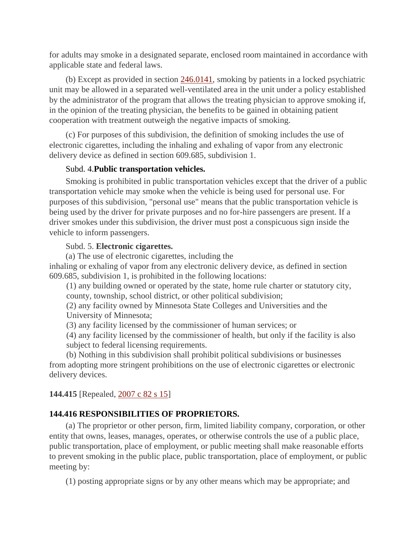for adults may smoke in a designated separate, enclosed room maintained in accordance with applicable state and federal laws.

(b) Except as provided in section [246.0141,](https://www.revisor.mn.gov/statutes?id=246.0141#stat.246.0141) smoking by patients in a locked psychiatric unit may be allowed in a separated well-ventilated area in the unit under a policy established by the administrator of the program that allows the treating physician to approve smoking if, in the opinion of the treating physician, the benefits to be gained in obtaining patient cooperation with treatment outweigh the negative impacts of smoking.

(c) For purposes of this subdivision, the definition of smoking includes the use of (c) For purposes of this subdivision, the definition of smoking includes the use of electronic cigarettes, including the inhaling and exhaling of vapor from any electronic delivery device as defined in section 609.685, subdivision 1.

### Subd. 4.**Public transportation vehicles.**

Smoking is prohibited in public transportation vehicles except that the driver of a public transportation vehicle may smoke when the vehicle is being used for personal use. For purposes of this subdivision, "personal use" means that the public transportation vehicle is being used by the driver for private purposes and no for-hire passengers are present. If a driver smokes under this subdivision, the driver must post a conspicuous sign inside the vehicle to inform passengers.

#### Subd. 5. **Electronic cigarettes.**

(a) The use of electronic cigarettes, including the

inhaling or exhaling of vapor from any electronic delivery device, as defined in section 609.685, subdivision 1, is prohibited in the following locations:

(1) any building owned or operated by the state, home rule charter or statutory city, county, township, school district, or other political subdivision;

 University of Minnesota; (2) any facility owned by Minnesota State Colleges and Universities and the

(3) any facility licensed by the commissioner of human services; or

(4) any facility licensed by the commissioner of health, but only if the facility is also subject to federal licensing requirements.

(b) Nothing in this subdivision shall prohibit political subdivisions or businesses from adopting more stringent prohibitions on the use of electronic cigarettes or electronic delivery devices.

### **144.415** [Repealed, [2007 c 82 s 15\]](https://www.revisor.mn.gov/laws?doctype=Chapter&year=2007&type=0&id=82)

### **144.416 RESPONSIBILITIES OF PROPRIETORS.**

(a) The proprietor or other person, firm, limited liability company, corporation, or other entity that owns, leases, manages, operates, or otherwise controls the use of a public place, public transportation, place of employment, or public meeting shall make reasonable efforts to prevent smoking in the public place, public transportation, place of employment, or public meeting by:

(1) posting appropriate signs or by any other means which may be appropriate; and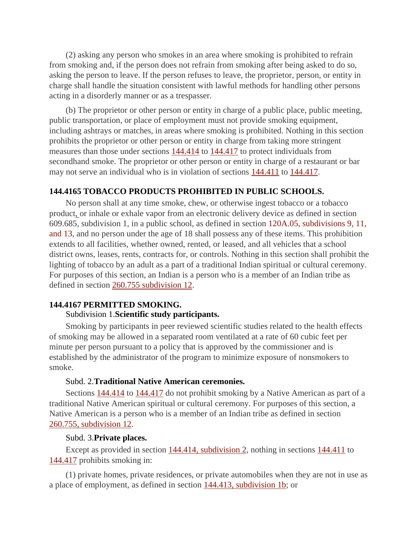(2) asking any person who smokes in an area where smoking is prohibited to refrain from smoking and, if the person does not refrain from smoking after being asked to do so, asking the person to leave. If the person refuses to leave, the proprietor, person, or entity in charge shall handle the situation consistent with lawful methods for handling other persons acting in a disorderly manner or as a trespasser.

(b) The proprietor or other person or entity in charge of a public place, public meeting, public transportation, or place of employment must not provide smoking equipment, including ashtrays or matches, in areas where smoking is prohibited. Nothing in this section prohibits the proprietor or other person or entity in charge from taking more stringent measures than those under sections [144.414](https://www.revisor.mn.gov/statutes?id=144.414#stat.144.414) to [144.417](https://www.revisor.mn.gov/statutes?id=144.417#stat.144.417) to protect individuals from secondhand smoke. The proprietor or other person or entity in charge of a restaurant or bar may not serve an individual who is in violation of sections  $144.411$  to  $144.417$ .

## **144.4165 TOBACCO PRODUCTS PROHIBITED IN PUBLIC SCHOOLS.**

 product, or inhale or exhale vapor from an electronic delivery device as defined in section No person shall at any time smoke, chew, or otherwise ingest tobacco or a tobacco 609.685, subdivision 1, in a public school, as defined in section [120A.05, subdivisions 9, 11,](https://www.revisor.mn.gov/statutes?id=120A.05#stat.120A.05)  [and 13,](https://www.revisor.mn.gov/statutes?id=120A.05#stat.120A.05) and no person under the age of 18 shall possess any of these items. This prohibition extends to all facilities, whether owned, rented, or leased, and all vehicles that a school district owns, leases, rents, contracts for, or controls. Nothing in this section shall prohibit the lighting of tobacco by an adult as a part of a traditional Indian spiritual or cultural ceremony. For purposes of this section, an Indian is a person who is a member of an Indian tribe as defined in section [260.755 subdivision 12.](https://www.revisor.mn.gov/statutes?id=260.755#stat.260.755)

## **144.4167 PERMITTED SMOKING.**

#### Subdivision 1.**Scientific study participants.**

Smoking by participants in peer reviewed scientific studies related to the health effects of smoking may be allowed in a separated room ventilated at a rate of 60 cubic feet per minute per person pursuant to a policy that is approved by the commissioner and is established by the administrator of the program to minimize exposure of nonsmokers to smoke.

## Subd. 2.**Traditional Native American ceremonies.**

Sections [144.414](https://www.revisor.mn.gov/statutes?id=144.414#stat.144.414) to [144.417](https://www.revisor.mn.gov/statutes?id=144.417#stat.144.417) do not prohibit smoking by a Native American as part of a traditional Native American spiritual or cultural ceremony. For purposes of this section, a Native American is a person who is a member of an Indian tribe as defined in section [260.755, subdivision 12.](https://www.revisor.mn.gov/statutes?id=260.755#stat.260.755.12)

#### Subd. 3.**Private places.**

Except as provided in section [144.414, subdivision 2,](https://www.revisor.mn.gov/statutes?id=144.414#stat.144.414.2) nothing in sections [144.411](https://www.revisor.mn.gov/statutes?id=144.411#stat.144.411) to [144.417](https://www.revisor.mn.gov/statutes?id=144.417#stat.144.417) prohibits smoking in:

a place of employment, as defined in section [144.413, subdivision 1b;](https://www.revisor.mn.gov/statutes?id=144.413#stat.144.413.1b) or (1) private homes, private residences, or private automobiles when they are not in use as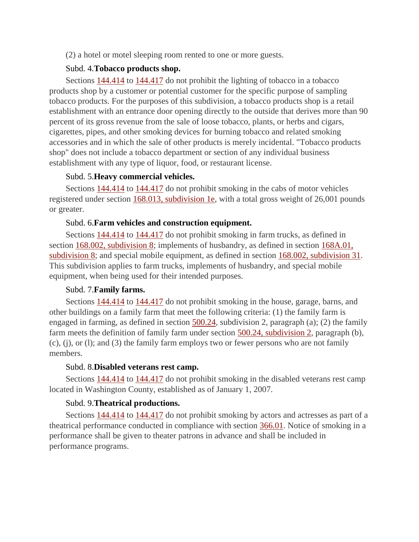(2) a hotel or motel sleeping room rented to one or more guests.

### Subd. 4.**Tobacco products shop.**

Sections [144.414](https://www.revisor.mn.gov/statutes?id=144.414#stat.144.414) to [144.417](https://www.revisor.mn.gov/statutes?id=144.417#stat.144.417) do not prohibit the lighting of tobacco in a tobacco products shop by a customer or potential customer for the specific purpose of sampling tobacco products. For the purposes of this subdivision, a tobacco products shop is a retail establishment with an entrance door opening directly to the outside that derives more than 90 percent of its gross revenue from the sale of loose tobacco, plants, or herbs and cigars, cigarettes, pipes, and other smoking devices for burning tobacco and related smoking accessories and in which the sale of other products is merely incidental. "Tobacco products shop" does not include a tobacco department or section of any individual business establishment with any type of liquor, food, or restaurant license.

## Subd. 5.**Heavy commercial vehicles.**

Sections [144.414](https://www.revisor.mn.gov/statutes?id=144.414#stat.144.414) to [144.417](https://www.revisor.mn.gov/statutes?id=144.417#stat.144.417) do not prohibit smoking in the cabs of motor vehicles registered under section [168.013, subdivision 1e,](https://www.revisor.mn.gov/statutes?id=168.013#stat.168.013.1e) with a total gross weight of 26,001 pounds or greater.

## Subd. 6.**Farm vehicles and construction equipment.**

Sections [144.414](https://www.revisor.mn.gov/statutes?id=144.414#stat.144.414) to [144.417](https://www.revisor.mn.gov/statutes?id=144.417#stat.144.417) do not prohibit smoking in farm trucks, as defined in section [168.002, subdivision 8;](https://www.revisor.mn.gov/statutes?id=168.002#stat.168.002.8) implements of husbandry, as defined in section [168A.01,](https://www.revisor.mn.gov/statutes?id=168A.01#stat.168A.01.8)  [subdivision 8;](https://www.revisor.mn.gov/statutes?id=168A.01#stat.168A.01.8) and special mobile equipment, as defined in section [168.002, subdivision 31.](https://www.revisor.mn.gov/statutes?id=168.002#stat.168.002.31) This subdivision applies to farm trucks, implements of husbandry, and special mobile equipment, when being used for their intended purposes.

# Subd. 7.**Family farms.**

Sections [144.414](https://www.revisor.mn.gov/statutes?id=144.414#stat.144.414) to [144.417](https://www.revisor.mn.gov/statutes?id=144.417#stat.144.417) do not prohibit smoking in the house, garage, barns, and other buildings on a family farm that meet the following criteria: (1) the family farm is engaged in farming, as defined in section  $\frac{500.24}{100.24}$ , subdivision 2, paragraph (a); (2) the family farm meets the definition of family farm under section [500.24, subdivision 2,](https://www.revisor.mn.gov/statutes?id=500.24#stat.500.24.2) paragraph (b), (c), (j), or (l); and (3) the family farm employs two or fewer persons who are not family members.

### Subd. 8.**Disabled veterans rest camp.**

Sections [144.414](https://www.revisor.mn.gov/statutes?id=144.414#stat.144.414) to [144.417](https://www.revisor.mn.gov/statutes?id=144.417#stat.144.417) do not prohibit smoking in the disabled veterans rest camp located in Washington County, established as of January 1, 2007.

# Subd. 9.**Theatrical productions.**

Sections [144.414](https://www.revisor.mn.gov/statutes?id=144.414#stat.144.414) to [144.417](https://www.revisor.mn.gov/statutes?id=144.417#stat.144.417) do not prohibit smoking by actors and actresses as part of a theatrical performance conducted in compliance with section [366.01.](https://www.revisor.mn.gov/statutes?id=366.01#stat.366.01) Notice of smoking in a performance shall be given to theater patrons in advance and shall be included in performance programs.